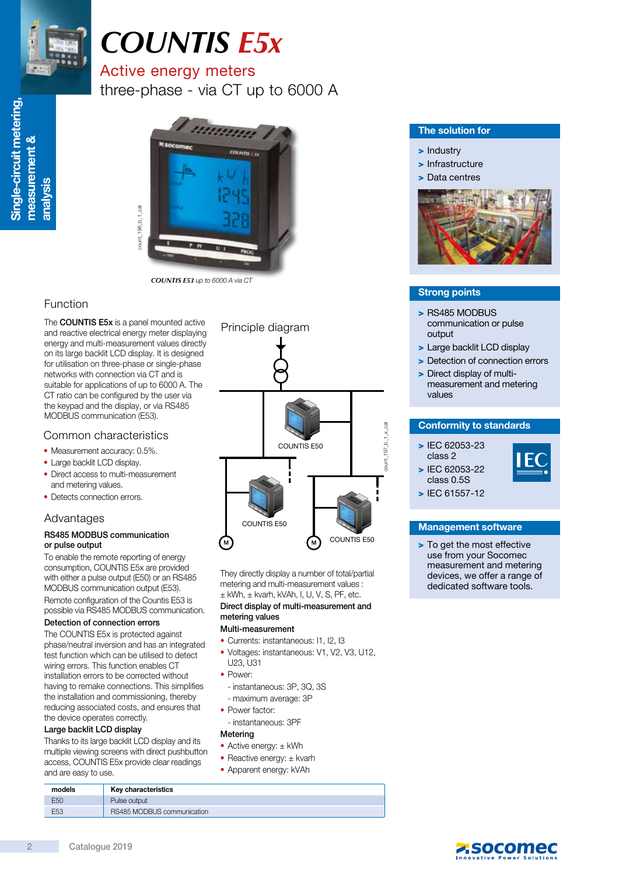

# *COUNTIS E5x*

## Active energy meters

three-phase - via CT up to 6000 A



*COUNTIS E53* up to 6000 A via CT

### Function

The **COUNTIS E5x** is a panel mounted active and reactive electrical energy meter displaying energy and multi-measurement values directly on its large backlit LCD display. It is designed for utilisation on three-phase or single-phase networks with connection via CT and is suitable for applications of up to 6000 A. The CT ratio can be configured by the user via the keypad and the display, or via RS485 MODBUS communication (E53).

#### Common characteristics

- Measurement accuracy: 0.5%.
- Large backlit LCD display.
- Direct access to multi-measurement and metering values.
- Detects connection errors.

### Advantages

#### RS485 MODBUS communication or pulse output

To enable the remote reporting of energy consumption, COUNTIS E5x are provided with either a pulse output (E50) or an RS485 MODBUS communication output (E53). Remote configuration of the Countis E53 is possible via RS485 MODBUS communication.

#### Detection of connection errors

The COUNTIS E5x is protected against phase/neutral inversion and has an integrated test function which can be utilised to detect wiring errors. This function enables CT installation errors to be corrected without having to remake connections. This simplifies the installation and commissioning, thereby reducing associated costs, and ensures that the device operates correctly.

#### Large backlit LCD display

Thanks to its large backlit LCD display and its multiple viewing screens with direct pushbutton access, COUNTIS E5x provide clear readings and are easy to use.



They directly display a number of total/partial metering and multi-measurement values :  $±$  kWh,  $±$  kvarh, kVAh, I, U, V, S, PF, etc.

#### Direct display of multi-measurement and metering values

#### Multi-measurement

- Currents: instantaneous: I1, I2, I3
- Voltages: instantaneous: V1, V2, V3, U12, U23, U31
- Power:
- instantaneous: 3P, 3Q, 3S
- maximum average: 3P
- Power factor:
- instantaneous: 3PF

#### Metering

- Active energy: ± kWh
- Reactive energy: ± kvarh
- Apparent energy: kVAh

#### The solution for

- > Industry
- > Infrastructure
- > Data centres



#### Strong points

- > RS485 MODBUS communication or pulse output
- > Large backlit LCD display
- > Detection of connection errors
- > Direct display of multimeasurement and metering values

#### Conformity to standards

> IEC 62053-23 class 2 > IEC 62053-22



class 0.5S > IEC 61557-12

#### Management software

> To get the most effective use from your Socomec measurement and metering devices, we offer a range of dedicated software tools.

| models          | Key characteristics        |
|-----------------|----------------------------|
| E50             | Pulse output               |
| E <sub>53</sub> | RS485 MODBUS communication |